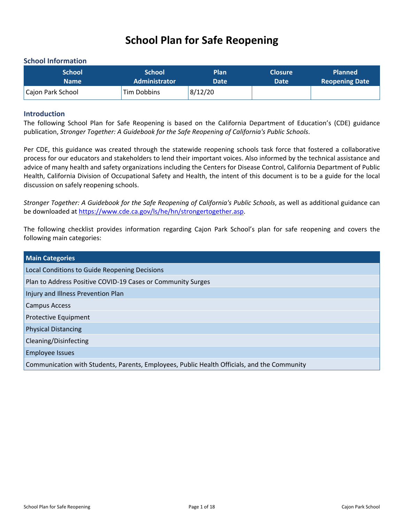# <span id="page-0-0"></span>**School Plan for Safe Reopening**

#### <span id="page-0-1"></span>**School Information**

| <b>School</b>     | <b>School</b>        | Plan        | <b>Closure</b> | <b>Planned</b>        |
|-------------------|----------------------|-------------|----------------|-----------------------|
| Name              | <b>Administrator</b> | <b>Date</b> | Date           | <b>Reopening Date</b> |
| Cajon Park School | Tim Dobbins          | 8/12/20     |                |                       |

#### <span id="page-0-2"></span>**Introduction**

The following School Plan for Safe Reopening is based on the California Department of Education's (CDE) guidance publication, *Stronger Together: A Guidebook for the Safe Reopening of California's Public Schools*.

Per CDE, this guidance was created through the statewide reopening schools task force that fostered a collaborative process for our educators and stakeholders to lend their important voices. Also informed by the technical assistance and advice of many health and safety organizations including the Centers for Disease Control, California Department of Public Health, California Division of Occupational Safety and Health, the intent of this document is to be a guide for the local discussion on safely reopening schools.

*Stronger Together: A Guidebook for the Safe Reopening of California's Public Schools*, as well as additional guidance can be downloaded at <https://www.cde.ca.gov/ls/he/hn/strongertogether.asp>.

The following checklist provides information regarding Cajon Park School's plan for safe reopening and covers the following main categories:

| <b>Main Categories</b>                                                                      |  |
|---------------------------------------------------------------------------------------------|--|
| Local Conditions to Guide Reopening Decisions                                               |  |
| Plan to Address Positive COVID-19 Cases or Community Surges                                 |  |
| Injury and Illness Prevention Plan                                                          |  |
| <b>Campus Access</b>                                                                        |  |
| Protective Equipment                                                                        |  |
| <b>Physical Distancing</b>                                                                  |  |
| Cleaning/Disinfecting                                                                       |  |
| <b>Employee Issues</b>                                                                      |  |
| Communication with Students, Parents, Employees, Public Health Officials, and the Community |  |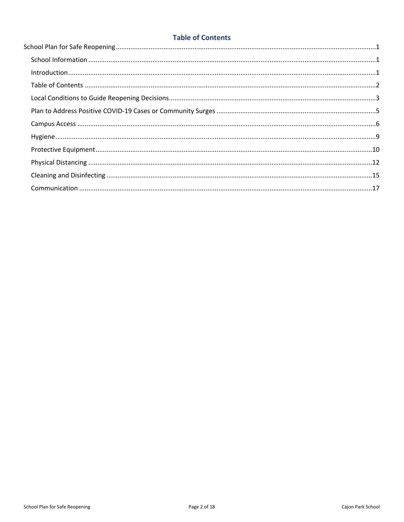## <span id="page-1-0"></span>**Table of Contents**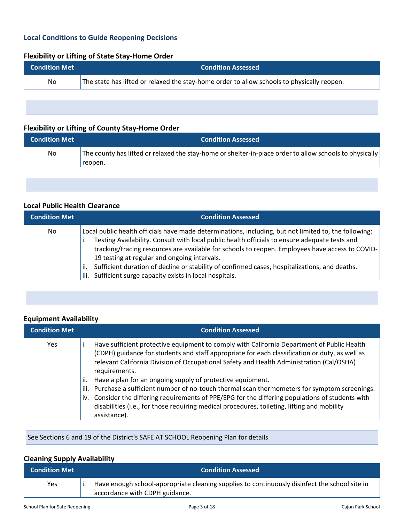## <span id="page-2-0"></span>**Local Conditions to Guide Reopening Decisions**

## **Flexibility or Lifting of State Stay-Home Order**

| <b>Condition Met</b> | <b>Condition Assessed</b>                                                                  |
|----------------------|--------------------------------------------------------------------------------------------|
| No.                  | The state has lifted or relaxed the stay-home order to allow schools to physically reopen. |
|                      |                                                                                            |

## **Flexibility or Lifting of County Stay-Home Order**

| <b>Condition Met</b> | <b>Condition Assessed</b>                                                                                          |
|----------------------|--------------------------------------------------------------------------------------------------------------------|
| No                   | The county has lifted or relaxed the stay-home or shelter-in-place order to allow schools to physically<br>reopen. |

#### **Local Public Health Clearance**

| <b>Condition Met</b> | <b>Condition Assessed</b>                                                                                                                                                                                                                                                                                                                                 |
|----------------------|-----------------------------------------------------------------------------------------------------------------------------------------------------------------------------------------------------------------------------------------------------------------------------------------------------------------------------------------------------------|
| No                   | Local public health officials have made determinations, including, but not limited to, the following:<br>Testing Availability. Consult with local public health officials to ensure adequate tests and<br>tracking/tracing resources are available for schools to reopen. Employees have access to COVID-<br>19 testing at regular and ongoing intervals. |
|                      | Sufficient duration of decline or stability of confirmed cases, hospitalizations, and deaths.<br>ii.                                                                                                                                                                                                                                                      |
|                      | Sufficient surge capacity exists in local hospitals.<br>iii.                                                                                                                                                                                                                                                                                              |

#### **Equipment Availability**

| <b>Condition Met</b> | <b>Condition Assessed</b>                                                                                                                                                                                                                                                                                                                                                                                                                                                                                                                                                                                                                                                                                |
|----------------------|----------------------------------------------------------------------------------------------------------------------------------------------------------------------------------------------------------------------------------------------------------------------------------------------------------------------------------------------------------------------------------------------------------------------------------------------------------------------------------------------------------------------------------------------------------------------------------------------------------------------------------------------------------------------------------------------------------|
| <b>Yes</b>           | Have sufficient protective equipment to comply with California Department of Public Health<br>(CDPH) guidance for students and staff appropriate for each classification or duty, as well as<br>relevant California Division of Occupational Safety and Health Administration (Cal/OSHA)<br>requirements.<br>Have a plan for an ongoing supply of protective equipment.<br>ii.<br>Purchase a sufficient number of no-touch thermal scan thermometers for symptom screenings.<br>iii.<br>iv. Consider the differing requirements of PPE/EPG for the differing populations of students with<br>disabilities (i.e., for those requiring medical procedures, toileting, lifting and mobility<br>assistance). |

See Sections 6 and 19 of the District's SAFE AT SCHOOL Reopening Plan for details

## **Cleaning Supply Availability**

| <b>Condition Met</b> | <b>Condition Assessed</b>                                                                                                       |
|----------------------|---------------------------------------------------------------------------------------------------------------------------------|
| Yes                  | Have enough school-appropriate cleaning supplies to continuously disinfect the school site in<br>accordance with CDPH guidance. |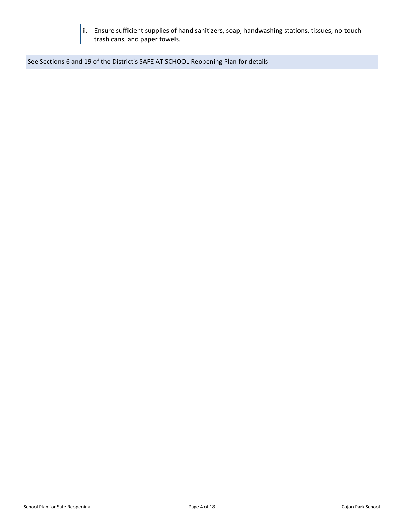| $\parallel$ ii. Ensure sufficient supplies of hand sanitizers, soap, handwashing stations, tissues, no-touch |
|--------------------------------------------------------------------------------------------------------------|
| trash cans, and paper towels.                                                                                |

See Sections 6 and 19 of the District's SAFE AT SCHOOL Reopening Plan for details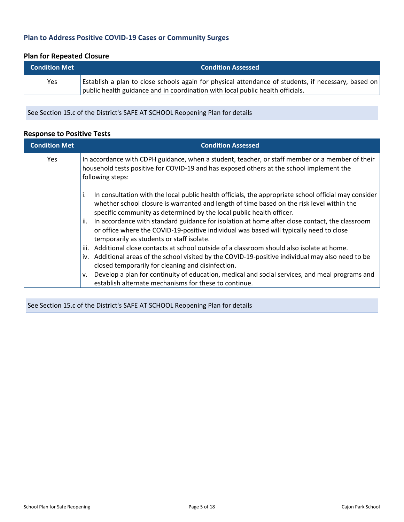## <span id="page-4-0"></span>**Plan to Address Positive COVID-19 Cases or Community Surges**

## **Plan for Repeated Closure**

| <b>Condition Met</b> | <b>Condition Assessed</b>                                                                           |
|----------------------|-----------------------------------------------------------------------------------------------------|
| Yes                  | Establish a plan to close schools again for physical attendance of students, if necessary, based on |
|                      | public health guidance and in coordination with local public health officials.                      |

See Section 15.c of the District's SAFE AT SCHOOL Reopening Plan for details

#### **Response to Positive Tests**

| <b>Condition Met</b> | <b>Condition Assessed</b>                                                                                                                                                                                                                                                       |
|----------------------|---------------------------------------------------------------------------------------------------------------------------------------------------------------------------------------------------------------------------------------------------------------------------------|
| <b>Yes</b>           | In accordance with CDPH guidance, when a student, teacher, or staff member or a member of their<br>household tests positive for COVID-19 and has exposed others at the school implement the<br>following steps:                                                                 |
|                      | In consultation with the local public health officials, the appropriate school official may consider<br>Ι.<br>whether school closure is warranted and length of time based on the risk level within the<br>specific community as determined by the local public health officer. |
|                      | In accordance with standard guidance for isolation at home after close contact, the classroom<br>ii.<br>or office where the COVID-19-positive individual was based will typically need to close<br>temporarily as students or staff isolate.                                    |
|                      | Additional close contacts at school outside of a classroom should also isolate at home.<br>iii.                                                                                                                                                                                 |
|                      | iv. Additional areas of the school visited by the COVID-19-positive individual may also need to be<br>closed temporarily for cleaning and disinfection.                                                                                                                         |
|                      | Develop a plan for continuity of education, medical and social services, and meal programs and<br>v.<br>establish alternate mechanisms for these to continue.                                                                                                                   |

See Section 15.c of the District's SAFE AT SCHOOL Reopening Plan for details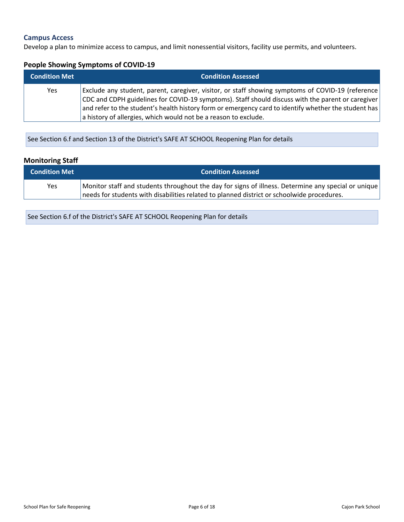#### <span id="page-5-0"></span>**Campus Access**

Develop a plan to minimize access to campus, and limit nonessential visitors, facility use permits, and volunteers.

#### **People Showing Symptoms of COVID-19**

| <b>Condition Met</b> | <b>Condition Assessed</b>                                                                                                                                                                              |
|----------------------|--------------------------------------------------------------------------------------------------------------------------------------------------------------------------------------------------------|
| Yes                  | Exclude any student, parent, caregiver, visitor, or staff showing symptoms of COVID-19 (reference<br>CDC and CDPH guidelines for COVID-19 symptoms). Staff should discuss with the parent or caregiver |
|                      | and refer to the student's health history form or emergency card to identify whether the student has                                                                                                   |
|                      | a history of allergies, which would not be a reason to exclude.                                                                                                                                        |

See Section 6.f and Section 13 of the District's SAFE AT SCHOOL Reopening Plan for details

## **Monitoring Staff**

| <b>Condition Met</b> | <b>Condition Assessed</b>                                                                           |
|----------------------|-----------------------------------------------------------------------------------------------------|
| Yes                  | Monitor staff and students throughout the day for signs of illness. Determine any special or unique |
|                      | needs for students with disabilities related to planned district or schoolwide procedures.          |

See Section 6.f of the District's SAFE AT SCHOOL Reopening Plan for details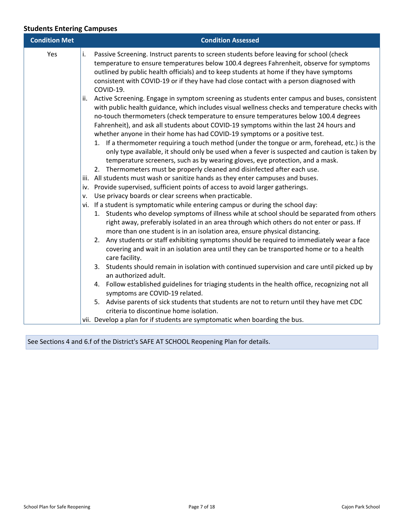## **Students Entering Campuses**

| <b>Condition Met</b> | <b>Condition Assessed</b>                                                                                                                                                                                                                                                                                                                                                                                                                                                                                                                                                                                                                                                                                                                                                                                                                                                                                                                               |
|----------------------|---------------------------------------------------------------------------------------------------------------------------------------------------------------------------------------------------------------------------------------------------------------------------------------------------------------------------------------------------------------------------------------------------------------------------------------------------------------------------------------------------------------------------------------------------------------------------------------------------------------------------------------------------------------------------------------------------------------------------------------------------------------------------------------------------------------------------------------------------------------------------------------------------------------------------------------------------------|
| Yes                  | Passive Screening. Instruct parents to screen students before leaving for school (check<br>temperature to ensure temperatures below 100.4 degrees Fahrenheit, observe for symptoms<br>outlined by public health officials) and to keep students at home if they have symptoms<br>consistent with COVID-19 or if they have had close contact with a person diagnosed with<br>COVID-19.<br>Active Screening. Engage in symptom screening as students enter campus and buses, consistent<br>with public health guidance, which includes visual wellness checks and temperature checks with<br>no-touch thermometers (check temperature to ensure temperatures below 100.4 degrees<br>Fahrenheit), and ask all students about COVID-19 symptoms within the last 24 hours and<br>whether anyone in their home has had COVID-19 symptoms or a positive test.<br>1. If a thermometer requiring a touch method (under the tongue or arm, forehead, etc.) is the |
|                      | only type available, it should only be used when a fever is suspected and caution is taken by<br>temperature screeners, such as by wearing gloves, eye protection, and a mask.<br>2. Thermometers must be properly cleaned and disinfected after each use.<br>iii. All students must wash or sanitize hands as they enter campuses and buses.<br>iv. Provide supervised, sufficient points of access to avoid larger gatherings.                                                                                                                                                                                                                                                                                                                                                                                                                                                                                                                        |
|                      | Use privacy boards or clear screens when practicable.                                                                                                                                                                                                                                                                                                                                                                                                                                                                                                                                                                                                                                                                                                                                                                                                                                                                                                   |
|                      | vi. If a student is symptomatic while entering campus or during the school day:<br>1. Students who develop symptoms of illness while at school should be separated from others<br>right away, preferably isolated in an area through which others do not enter or pass. If<br>more than one student is in an isolation area, ensure physical distancing.<br>2. Any students or staff exhibiting symptoms should be required to immediately wear a face<br>covering and wait in an isolation area until they can be transported home or to a health<br>care facility.                                                                                                                                                                                                                                                                                                                                                                                    |
|                      | 3. Students should remain in isolation with continued supervision and care until picked up by<br>an authorized adult.                                                                                                                                                                                                                                                                                                                                                                                                                                                                                                                                                                                                                                                                                                                                                                                                                                   |
|                      | 4. Follow established guidelines for triaging students in the health office, recognizing not all<br>symptoms are COVID-19 related.                                                                                                                                                                                                                                                                                                                                                                                                                                                                                                                                                                                                                                                                                                                                                                                                                      |
|                      | 5. Advise parents of sick students that students are not to return until they have met CDC<br>criteria to discontinue home isolation.                                                                                                                                                                                                                                                                                                                                                                                                                                                                                                                                                                                                                                                                                                                                                                                                                   |
|                      | vii. Develop a plan for if students are symptomatic when boarding the bus.                                                                                                                                                                                                                                                                                                                                                                                                                                                                                                                                                                                                                                                                                                                                                                                                                                                                              |

See Sections 4 and 6.f of the District's SAFE AT SCHOOL Reopening Plan for details.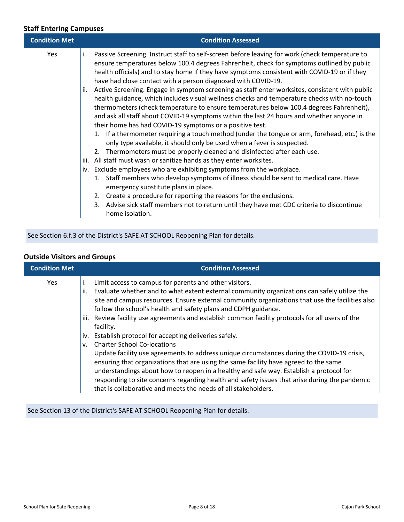## **Staff Entering Campuses**

| <b>Condition Met</b> |                          | <b>Condition Assessed</b>                                                                                                                                                                                                                                                                                                                                                                                                                                                                                                                                                                                                                                                                                                                                                                                                                                                                                                                                                                                                                                                                                                                                                                                      |
|----------------------|--------------------------|----------------------------------------------------------------------------------------------------------------------------------------------------------------------------------------------------------------------------------------------------------------------------------------------------------------------------------------------------------------------------------------------------------------------------------------------------------------------------------------------------------------------------------------------------------------------------------------------------------------------------------------------------------------------------------------------------------------------------------------------------------------------------------------------------------------------------------------------------------------------------------------------------------------------------------------------------------------------------------------------------------------------------------------------------------------------------------------------------------------------------------------------------------------------------------------------------------------|
| Yes                  | i.<br>ii.<br>iii.<br>İV. | Passive Screening. Instruct staff to self-screen before leaving for work (check temperature to<br>ensure temperatures below 100.4 degrees Fahrenheit, check for symptoms outlined by public<br>health officials) and to stay home if they have symptoms consistent with COVID-19 or if they<br>have had close contact with a person diagnosed with COVID-19.<br>Active Screening. Engage in symptom screening as staff enter worksites, consistent with public<br>health guidance, which includes visual wellness checks and temperature checks with no-touch<br>thermometers (check temperature to ensure temperatures below 100.4 degrees Fahrenheit),<br>and ask all staff about COVID-19 symptoms within the last 24 hours and whether anyone in<br>their home has had COVID-19 symptoms or a positive test.<br>1. If a thermometer requiring a touch method (under the tongue or arm, forehead, etc.) is the<br>only type available, it should only be used when a fever is suspected.<br>2. Thermometers must be properly cleaned and disinfected after each use.<br>All staff must wash or sanitize hands as they enter worksites.<br>Exclude employees who are exhibiting symptoms from the workplace. |
|                      |                          | Staff members who develop symptoms of illness should be sent to medical care. Have<br>1.<br>emergency substitute plans in place.                                                                                                                                                                                                                                                                                                                                                                                                                                                                                                                                                                                                                                                                                                                                                                                                                                                                                                                                                                                                                                                                               |
|                      |                          | 2. Create a procedure for reporting the reasons for the exclusions.                                                                                                                                                                                                                                                                                                                                                                                                                                                                                                                                                                                                                                                                                                                                                                                                                                                                                                                                                                                                                                                                                                                                            |
|                      |                          | 3. Advise sick staff members not to return until they have met CDC criteria to discontinue<br>home isolation.                                                                                                                                                                                                                                                                                                                                                                                                                                                                                                                                                                                                                                                                                                                                                                                                                                                                                                                                                                                                                                                                                                  |

See Section 6.f.3 of the District's SAFE AT SCHOOL Reopening Plan for details.

| <b>Condition Met</b> | <b>Condition Assessed</b>                                                                                                                                                      |
|----------------------|--------------------------------------------------------------------------------------------------------------------------------------------------------------------------------|
| Yes                  | Limit access to campus for parents and other visitors.<br>i.<br>Evaluate whether and to what extent external community organizations can safely utilize the<br>ii.             |
|                      | site and campus resources. Ensure external community organizations that use the facilities also<br>follow the school's health and safety plans and CDPH guidance.              |
|                      | iii. Review facility use agreements and establish common facility protocols for all users of the                                                                               |
|                      | facility.<br>iv. Establish protocol for accepting deliveries safely.                                                                                                           |
|                      | <b>Charter School Co-locations</b><br>v.<br>Update facility use agreements to address unique circumstances during the COVID-19 crisis,                                         |
|                      | ensuring that organizations that are using the same facility have agreed to the same<br>understandings about how to reopen in a healthy and safe way. Establish a protocol for |
|                      | responding to site concerns regarding health and safety issues that arise during the pandemic<br>that is collaborative and meets the needs of all stakeholders.                |

## **Outside Visitors and Groups**

See Section 13 of the District's SAFE AT SCHOOL Reopening Plan for details.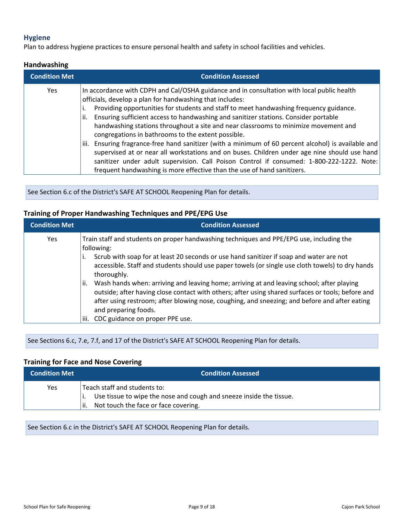#### <span id="page-8-0"></span>**Hygiene**

Plan to address hygiene practices to ensure personal health and safety in school facilities and vehicles.

#### **Handwashing**

| <b>Condition Met</b> | <b>Condition Assessed</b>                                                                                                                                                                                                                                                                                                                                                                                                                                                                                                   |
|----------------------|-----------------------------------------------------------------------------------------------------------------------------------------------------------------------------------------------------------------------------------------------------------------------------------------------------------------------------------------------------------------------------------------------------------------------------------------------------------------------------------------------------------------------------|
| <b>Yes</b>           | In accordance with CDPH and Cal/OSHA guidance and in consultation with local public health<br>officials, develop a plan for handwashing that includes:<br>Providing opportunities for students and staff to meet handwashing frequency guidance.<br>Ensuring sufficient access to handwashing and sanitizer stations. Consider portable<br>ii.                                                                                                                                                                              |
|                      | handwashing stations throughout a site and near classrooms to minimize movement and<br>congregations in bathrooms to the extent possible.<br>Ensuring fragrance-free hand sanitizer (with a minimum of 60 percent alcohol) is available and<br>iii.<br>supervised at or near all workstations and on buses. Children under age nine should use hand<br>sanitizer under adult supervision. Call Poison Control if consumed: 1-800-222-1222. Note:<br>frequent handwashing is more effective than the use of hand sanitizers. |

See Section 6.c of the District's SAFE AT SCHOOL Reopening Plan for details.

#### **Training of Proper Handwashing Techniques and PPE/EPG Use**

| <b>Condition Met</b> | <b>Condition Assessed</b>                                                                                                                                                                                                                                                                                                      |
|----------------------|--------------------------------------------------------------------------------------------------------------------------------------------------------------------------------------------------------------------------------------------------------------------------------------------------------------------------------|
| <b>Yes</b>           | Train staff and students on proper handwashing techniques and PPE/EPG use, including the<br>following:                                                                                                                                                                                                                         |
|                      | Scrub with soap for at least 20 seconds or use hand sanitizer if soap and water are not<br>accessible. Staff and students should use paper towels (or single use cloth towels) to dry hands<br>thoroughly.                                                                                                                     |
|                      | Wash hands when: arriving and leaving home; arriving at and leaving school; after playing<br>ii.<br>outside; after having close contact with others; after using shared surfaces or tools; before and<br>after using restroom; after blowing nose, coughing, and sneezing; and before and after eating<br>and preparing foods. |
|                      | CDC guidance on proper PPE use.<br>iii.                                                                                                                                                                                                                                                                                        |

See Sections 6.c, 7.e, 7.f, and 17 of the District's SAFE AT SCHOOL Reopening Plan for details.

#### **Training for Face and Nose Covering**

| <b>Condition Met</b> | <b>Condition Assessed</b>                                                                                                                           |
|----------------------|-----------------------------------------------------------------------------------------------------------------------------------------------------|
| Yes                  | Teach staff and students to:<br>Use tissue to wipe the nose and cough and sneeze inside the tissue.<br>Not touch the face or face covering.<br>'ii. |

See Section 6.c in the District's SAFE AT SCHOOL Reopening Plan for details.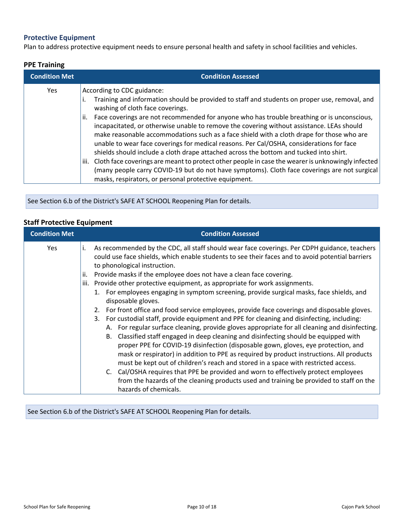## <span id="page-9-0"></span>**Protective Equipment**

Plan to address protective equipment needs to ensure personal health and safety in school facilities and vehicles.

#### **PPE Training**

| <b>Condition Met</b> | <b>Condition Assessed</b>                                                                                                                                                                                                                                                                                                                                                                                                                                                                                                                                                                                                                                                                                                                                                                                                                                         |
|----------------------|-------------------------------------------------------------------------------------------------------------------------------------------------------------------------------------------------------------------------------------------------------------------------------------------------------------------------------------------------------------------------------------------------------------------------------------------------------------------------------------------------------------------------------------------------------------------------------------------------------------------------------------------------------------------------------------------------------------------------------------------------------------------------------------------------------------------------------------------------------------------|
| <b>Yes</b>           | According to CDC guidance:<br>Training and information should be provided to staff and students on proper use, removal, and<br>washing of cloth face coverings.<br>Face coverings are not recommended for anyone who has trouble breathing or is unconscious,<br>ii.<br>incapacitated, or otherwise unable to remove the covering without assistance. LEAs should<br>make reasonable accommodations such as a face shield with a cloth drape for those who are<br>unable to wear face coverings for medical reasons. Per Cal/OSHA, considerations for face<br>shields should include a cloth drape attached across the bottom and tucked into shirt.<br>Cloth face coverings are meant to protect other people in case the wearer is unknowingly infected<br>iii.<br>(many people carry COVID-19 but do not have symptoms). Cloth face coverings are not surgical |
|                      | masks, respirators, or personal protective equipment.                                                                                                                                                                                                                                                                                                                                                                                                                                                                                                                                                                                                                                                                                                                                                                                                             |

See Section 6.b of the District's SAFE AT SCHOOL Reopening Plan for details.

## **Staff Protective Equipment**

| <b>Condition Met</b> | <b>Condition Assessed</b>                                                                                                                                                                                                                                                                                                                                                                                                                                                                                                                                                                                                                                                                                                                                                                                                                                                                                                                                                                                                                                                                                                                                                                                                                                                                                                                                             |
|----------------------|-----------------------------------------------------------------------------------------------------------------------------------------------------------------------------------------------------------------------------------------------------------------------------------------------------------------------------------------------------------------------------------------------------------------------------------------------------------------------------------------------------------------------------------------------------------------------------------------------------------------------------------------------------------------------------------------------------------------------------------------------------------------------------------------------------------------------------------------------------------------------------------------------------------------------------------------------------------------------------------------------------------------------------------------------------------------------------------------------------------------------------------------------------------------------------------------------------------------------------------------------------------------------------------------------------------------------------------------------------------------------|
| <b>Yes</b>           | As recommended by the CDC, all staff should wear face coverings. Per CDPH guidance, teachers<br>could use face shields, which enable students to see their faces and to avoid potential barriers<br>to phonological instruction.<br>Provide masks if the employee does not have a clean face covering.<br>Provide other protective equipment, as appropriate for work assignments.<br>iii.<br>1. For employees engaging in symptom screening, provide surgical masks, face shields, and<br>disposable gloves.<br>2. For front office and food service employees, provide face coverings and disposable gloves.<br>3. For custodial staff, provide equipment and PPE for cleaning and disinfecting, including:<br>A. For regular surface cleaning, provide gloves appropriate for all cleaning and disinfecting.<br>Classified staff engaged in deep cleaning and disinfecting should be equipped with<br>В.<br>proper PPE for COVID-19 disinfection (disposable gown, gloves, eye protection, and<br>mask or respirator) in addition to PPE as required by product instructions. All products<br>must be kept out of children's reach and stored in a space with restricted access.<br>C. Cal/OSHA requires that PPE be provided and worn to effectively protect employees<br>from the hazards of the cleaning products used and training be provided to staff on the |
|                      | hazards of chemicals.                                                                                                                                                                                                                                                                                                                                                                                                                                                                                                                                                                                                                                                                                                                                                                                                                                                                                                                                                                                                                                                                                                                                                                                                                                                                                                                                                 |

See Section 6.b of the District's SAFE AT SCHOOL Reopening Plan for details.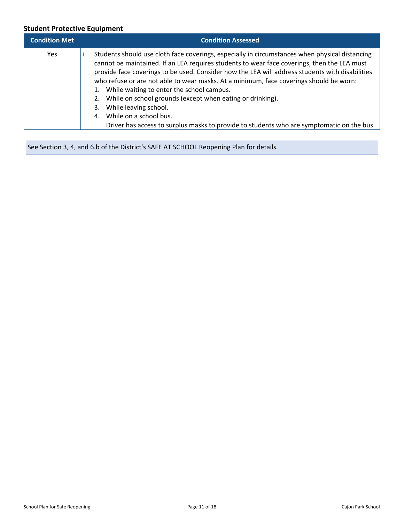## **Student Protective Equipment**

| <b>Condition Met</b> | <b>Condition Assessed</b>                                                                                                                                                                                                                                                                                                                                                                                                                                                                                                                                                                                                                                        |
|----------------------|------------------------------------------------------------------------------------------------------------------------------------------------------------------------------------------------------------------------------------------------------------------------------------------------------------------------------------------------------------------------------------------------------------------------------------------------------------------------------------------------------------------------------------------------------------------------------------------------------------------------------------------------------------------|
| <b>Yes</b>           | Students should use cloth face coverings, especially in circumstances when physical distancing<br>cannot be maintained. If an LEA requires students to wear face coverings, then the LEA must<br>provide face coverings to be used. Consider how the LEA will address students with disabilities<br>who refuse or are not able to wear masks. At a minimum, face coverings should be worn:<br>1. While waiting to enter the school campus.<br>2. While on school grounds (except when eating or drinking).<br>3. While leaving school.<br>4. While on a school bus.<br>Driver has access to surplus masks to provide to students who are symptomatic on the bus. |

See Section 3, 4, and 6.b of the District's SAFE AT SCHOOL Reopening Plan for details.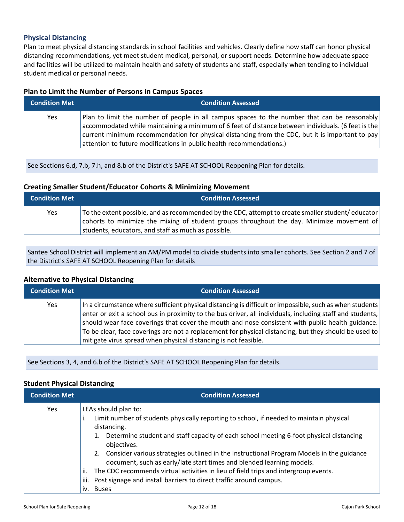#### <span id="page-11-0"></span>**Physical Distancing**

Plan to meet physical distancing standards in school facilities and vehicles. Clearly define how staff can honor physical distancing recommendations, yet meet student medical, personal, or support needs. Determine how adequate space and facilities will be utilized to maintain health and safety of students and staff, especially when tending to individual student medical or personal needs.

#### **Plan to Limit the Number of Persons in Campus Spaces**

| <b>Condition Met</b> | <b>Condition Assessed</b>                                                                                                                                                                                                                                                                                                                                                     |
|----------------------|-------------------------------------------------------------------------------------------------------------------------------------------------------------------------------------------------------------------------------------------------------------------------------------------------------------------------------------------------------------------------------|
| Yes                  | Plan to limit the number of people in all campus spaces to the number that can be reasonably<br>accommodated while maintaining a minimum of 6 feet of distance between individuals. (6 feet is the<br>current minimum recommendation for physical distancing from the CDC, but it is important to pay<br>attention to future modifications in public health recommendations.) |

See Sections 6.d, 7.b, 7.h, and 8.b of the District's SAFE AT SCHOOL Reopening Plan for details.

#### **Creating Smaller Student/Educator Cohorts & Minimizing Movement**

| <b>Condition Met</b> | <b>Condition Assessed</b>                                                                                                                                                                                                                                 |
|----------------------|-----------------------------------------------------------------------------------------------------------------------------------------------------------------------------------------------------------------------------------------------------------|
| Yes                  | To the extent possible, and as recommended by the CDC, attempt to create smaller student/educator $ $<br>cohorts to minimize the mixing of student groups throughout the day. Minimize movement of<br>students, educators, and staff as much as possible. |

Santee School District will implement an AM/PM model to divide students into smaller cohorts. See Section 2 and 7 of the District's SAFE AT SCHOOL Reopening Plan for details

#### **Alternative to Physical Distancing**

| <b>Condition Met</b> | <b>Condition Assessed</b>                                                                                                                                                                                                                                                                                                                                                                                                                                                                             |
|----------------------|-------------------------------------------------------------------------------------------------------------------------------------------------------------------------------------------------------------------------------------------------------------------------------------------------------------------------------------------------------------------------------------------------------------------------------------------------------------------------------------------------------|
| Yes                  | In a circumstance where sufficient physical distancing is difficult or impossible, such as when students<br>enter or exit a school bus in proximity to the bus driver, all individuals, including staff and students,<br>should wear face coverings that cover the mouth and nose consistent with public health guidance.<br>To be clear, face coverings are not a replacement for physical distancing, but they should be used to<br>mitigate virus spread when physical distancing is not feasible. |

See Sections 3, 4, and 6.b of the District's SAFE AT SCHOOL Reopening Plan for details.

#### **Student Physical Distancing**

| <b>Condition Met</b> | <b>Condition Assessed</b>                                                                                                                                                                                                                                                                                                                                                                                          |
|----------------------|--------------------------------------------------------------------------------------------------------------------------------------------------------------------------------------------------------------------------------------------------------------------------------------------------------------------------------------------------------------------------------------------------------------------|
| <b>Yes</b>           | LEAs should plan to:<br>Limit number of students physically reporting to school, if needed to maintain physical<br>distancing.<br>1. Determine student and staff capacity of each school meeting 6-foot physical distancing<br>objectives.<br>2. Consider various strategies outlined in the Instructional Program Models in the guidance<br>document, such as early/late start times and blended learning models. |
|                      | The CDC recommends virtual activities in lieu of field trips and intergroup events.<br>ii.                                                                                                                                                                                                                                                                                                                         |
|                      | Post signage and install barriers to direct traffic around campus.<br>iii.                                                                                                                                                                                                                                                                                                                                         |
|                      | iv. Buses                                                                                                                                                                                                                                                                                                                                                                                                          |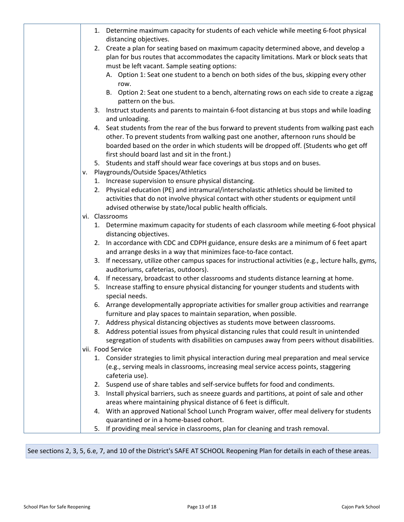|    | 1. Determine maximum capacity for students of each vehicle while meeting 6-foot physical<br>distancing objectives.                                                                                                                                                                                                                 |
|----|------------------------------------------------------------------------------------------------------------------------------------------------------------------------------------------------------------------------------------------------------------------------------------------------------------------------------------|
|    | 2. Create a plan for seating based on maximum capacity determined above, and develop a<br>plan for bus routes that accommodates the capacity limitations. Mark or block seats that                                                                                                                                                 |
|    | must be left vacant. Sample seating options:                                                                                                                                                                                                                                                                                       |
|    | A. Option 1: Seat one student to a bench on both sides of the bus, skipping every other<br>row.                                                                                                                                                                                                                                    |
|    | B. Option 2: Seat one student to a bench, alternating rows on each side to create a zigzag<br>pattern on the bus.                                                                                                                                                                                                                  |
|    | Instruct students and parents to maintain 6-foot distancing at bus stops and while loading<br>3.<br>and unloading.                                                                                                                                                                                                                 |
|    | Seat students from the rear of the bus forward to prevent students from walking past each<br>4.<br>other. To prevent students from walking past one another, afternoon runs should be<br>boarded based on the order in which students will be dropped off. (Students who get off<br>first should board last and sit in the front.) |
|    | 5. Students and staff should wear face coverings at bus stops and on buses.                                                                                                                                                                                                                                                        |
| v. | Playgrounds/Outside Spaces/Athletics                                                                                                                                                                                                                                                                                               |
|    | 1. Increase supervision to ensure physical distancing.                                                                                                                                                                                                                                                                             |
|    | 2. Physical education (PE) and intramural/interscholastic athletics should be limited to                                                                                                                                                                                                                                           |
|    | activities that do not involve physical contact with other students or equipment until                                                                                                                                                                                                                                             |
|    | advised otherwise by state/local public health officials.                                                                                                                                                                                                                                                                          |
|    | vi. Classrooms                                                                                                                                                                                                                                                                                                                     |
|    | 1. Determine maximum capacity for students of each classroom while meeting 6-foot physical<br>distancing objectives.                                                                                                                                                                                                               |
|    | In accordance with CDC and CDPH guidance, ensure desks are a minimum of 6 feet apart<br>2.<br>and arrange desks in a way that minimizes face-to-face contact.                                                                                                                                                                      |
|    | If necessary, utilize other campus spaces for instructional activities (e.g., lecture halls, gyms,<br>3.<br>auditoriums, cafeterias, outdoors).                                                                                                                                                                                    |
|    | 4. If necessary, broadcast to other classrooms and students distance learning at home.                                                                                                                                                                                                                                             |
|    | Increase staffing to ensure physical distancing for younger students and students with<br>5.<br>special needs.                                                                                                                                                                                                                     |
|    | 6. Arrange developmentally appropriate activities for smaller group activities and rearrange<br>furniture and play spaces to maintain separation, when possible.                                                                                                                                                                   |
|    | 7. Address physical distancing objectives as students move between classrooms.                                                                                                                                                                                                                                                     |
|    | Address potential issues from physical distancing rules that could result in unintended<br>8.                                                                                                                                                                                                                                      |
|    | segregation of students with disabilities on campuses away from peers without disabilities.                                                                                                                                                                                                                                        |
|    | vii. Food Service                                                                                                                                                                                                                                                                                                                  |
|    | 1. Consider strategies to limit physical interaction during meal preparation and meal service                                                                                                                                                                                                                                      |
|    | (e.g., serving meals in classrooms, increasing meal service access points, staggering<br>cafeteria use).                                                                                                                                                                                                                           |
|    | 2. Suspend use of share tables and self-service buffets for food and condiments.                                                                                                                                                                                                                                                   |
|    | 3. Install physical barriers, such as sneeze guards and partitions, at point of sale and other                                                                                                                                                                                                                                     |
|    | areas where maintaining physical distance of 6 feet is difficult.                                                                                                                                                                                                                                                                  |
|    | With an approved National School Lunch Program waiver, offer meal delivery for students<br>4.                                                                                                                                                                                                                                      |
|    | quarantined or in a home-based cohort.                                                                                                                                                                                                                                                                                             |
|    | If providing meal service in classrooms, plan for cleaning and trash removal.<br>5.                                                                                                                                                                                                                                                |

See sections 2, 3, 5, 6.e, 7, and 10 of the District's SAFE AT SCHOOL Reopening Plan for details in each of these areas.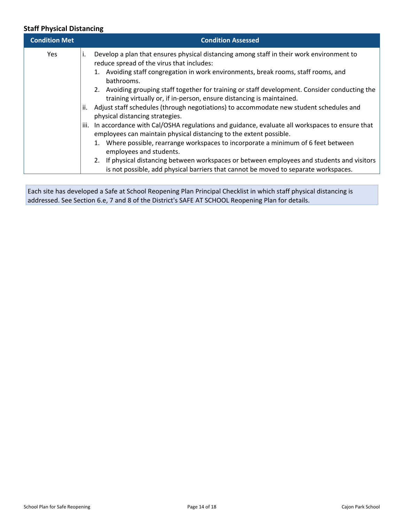## **Staff Physical Distancing**

| <b>Condition Met</b> |      | <b>Condition Assessed</b>                                                                                                                                                          |
|----------------------|------|------------------------------------------------------------------------------------------------------------------------------------------------------------------------------------|
| Yes                  | Τ.   | Develop a plan that ensures physical distancing among staff in their work environment to<br>reduce spread of the virus that includes:                                              |
|                      |      | 1. Avoiding staff congregation in work environments, break rooms, staff rooms, and<br>bathrooms.                                                                                   |
|                      |      | 2. Avoiding grouping staff together for training or staff development. Consider conducting the<br>training virtually or, if in-person, ensure distancing is maintained.            |
|                      | ii.  | Adjust staff schedules (through negotiations) to accommodate new student schedules and<br>physical distancing strategies.                                                          |
|                      | iii. | In accordance with Cal/OSHA regulations and guidance, evaluate all workspaces to ensure that<br>employees can maintain physical distancing to the extent possible.                 |
|                      |      | 1. Where possible, rearrange workspaces to incorporate a minimum of 6 feet between<br>employees and students.                                                                      |
|                      |      | 2. If physical distancing between workspaces or between employees and students and visitors<br>is not possible, add physical barriers that cannot be moved to separate workspaces. |

Each site has developed a Safe at School Reopening Plan Principal Checklist in which staff physical distancing is addressed. See Section 6.e, 7 and 8 of the District's SAFE AT SCHOOL Reopening Plan for details.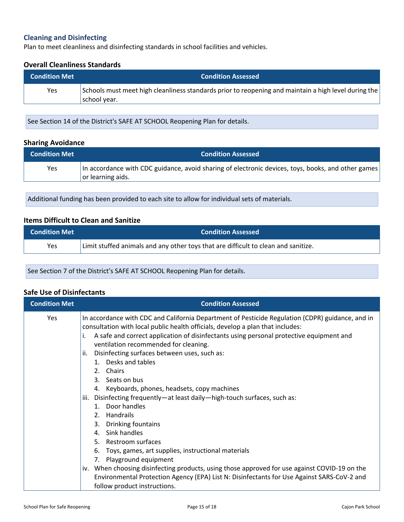## <span id="page-14-0"></span>**Cleaning and Disinfecting**

Plan to meet cleanliness and disinfecting standards in school facilities and vehicles.

#### **Overall Cleanliness Standards**

| <b>Condition Met</b> | <b>Condition Assessed</b>                                                                                            |
|----------------------|----------------------------------------------------------------------------------------------------------------------|
| Yes                  | Schools must meet high cleanliness standards prior to reopening and maintain a high level during the<br>school year. |

See Section 14 of the District's SAFE AT SCHOOL Reopening Plan for details.

#### **Sharing Avoidance**

| <b>Condition Met</b> | <b>Condition Assessed</b>                                                                                               |
|----------------------|-------------------------------------------------------------------------------------------------------------------------|
| Yes                  | In accordance with CDC guidance, avoid sharing of electronic devices, toys, books, and other games<br>or learning aids. |

Additional funding has been provided to each site to allow for individual sets of materials.

#### **Items Difficult to Clean and Sanitize**

| <b>Condition Met</b> | <b>Condition Assessed</b>                                                          |
|----------------------|------------------------------------------------------------------------------------|
| Yes                  | Limit stuffed animals and any other toys that are difficult to clean and sanitize. |

See Section 7 of the District's SAFE AT SCHOOL Reopening Plan for details.

#### **Safe Use of Disinfectants**

| <b>Condition Met</b> | <b>Condition Assessed</b>                                                                                                                                                                                                                                                                                                                                                                                                                                                                                                                                                                                                                                                                                                                                                                                                                                                                                                                                                                       |
|----------------------|-------------------------------------------------------------------------------------------------------------------------------------------------------------------------------------------------------------------------------------------------------------------------------------------------------------------------------------------------------------------------------------------------------------------------------------------------------------------------------------------------------------------------------------------------------------------------------------------------------------------------------------------------------------------------------------------------------------------------------------------------------------------------------------------------------------------------------------------------------------------------------------------------------------------------------------------------------------------------------------------------|
| Yes                  | In accordance with CDC and California Department of Pesticide Regulation (CDPR) guidance, and in<br>consultation with local public health officials, develop a plan that includes:<br>A safe and correct application of disinfectants using personal protective equipment and<br>ventilation recommended for cleaning.<br>Disinfecting surfaces between uses, such as:<br>ii.<br>1. Desks and tables<br>2. Chairs<br>3. Seats on bus<br>4. Keyboards, phones, headsets, copy machines<br>Disinfecting frequently-at least daily-high-touch surfaces, such as:<br>iii.<br>1. Door handles<br>2. Handrails<br>3. Drinking fountains<br>4. Sink handles<br>5. Restroom surfaces<br>6. Toys, games, art supplies, instructional materials<br>7. Playground equipment<br>iv. When choosing disinfecting products, using those approved for use against COVID-19 on the<br>Environmental Protection Agency (EPA) List N: Disinfectants for Use Against SARS-CoV-2 and<br>follow product instructions. |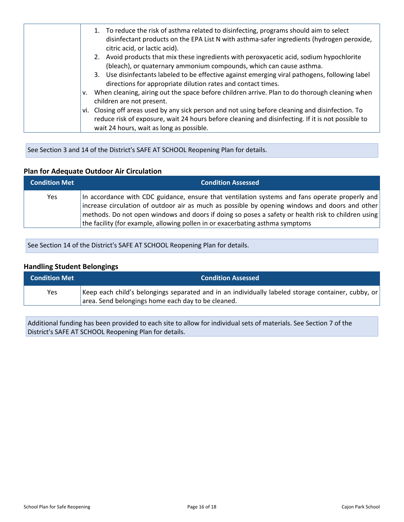|    | 1. To reduce the risk of asthma related to disinfecting, programs should aim to select<br>disinfectant products on the EPA List N with asthma-safer ingredients (hydrogen peroxide,<br>citric acid, or lactic acid). |
|----|----------------------------------------------------------------------------------------------------------------------------------------------------------------------------------------------------------------------|
|    | 2. Avoid products that mix these ingredients with peroxyacetic acid, sodium hypochlorite                                                                                                                             |
|    | (bleach), or quaternary ammonium compounds, which can cause asthma.                                                                                                                                                  |
|    | 3. Use disinfectants labeled to be effective against emerging viral pathogens, following label<br>directions for appropriate dilution rates and contact times.                                                       |
|    |                                                                                                                                                                                                                      |
| v. | When cleaning, airing out the space before children arrive. Plan to do thorough cleaning when<br>children are not present.                                                                                           |
|    | vi. Closing off areas used by any sick person and not using before cleaning and disinfection. To                                                                                                                     |
|    | reduce risk of exposure, wait 24 hours before cleaning and disinfecting. If it is not possible to                                                                                                                    |
|    | wait 24 hours, wait as long as possible.                                                                                                                                                                             |

See Section 3 and 14 of the District's SAFE AT SCHOOL Reopening Plan for details.

## **Plan for Adequate Outdoor Air Circulation**

| <b>Condition Met</b> | <b>Condition Assessed</b>                                                                                                                                                                                                                                                                                                                                                               |
|----------------------|-----------------------------------------------------------------------------------------------------------------------------------------------------------------------------------------------------------------------------------------------------------------------------------------------------------------------------------------------------------------------------------------|
| Yes                  | In accordance with CDC guidance, ensure that ventilation systems and fans operate properly and<br>increase circulation of outdoor air as much as possible by opening windows and doors and other<br>methods. Do not open windows and doors if doing so poses a safety or health risk to children using<br>the facility (for example, allowing pollen in or exacerbating asthma symptoms |

See Section 14 of the District's SAFE AT SCHOOL Reopening Plan for details.

#### **Handling Student Belongings**

| <b>Condition Met</b> | <b>Condition Assessed</b>                                                                                                                                |
|----------------------|----------------------------------------------------------------------------------------------------------------------------------------------------------|
| <b>Yes</b>           | Keep each child's belongings separated and in an individually labeled storage container, cubby, or<br>area. Send belongings home each day to be cleaned. |

Additional funding has been provided to each site to allow for individual sets of materials. See Section 7 of the District's SAFE AT SCHOOL Reopening Plan for details.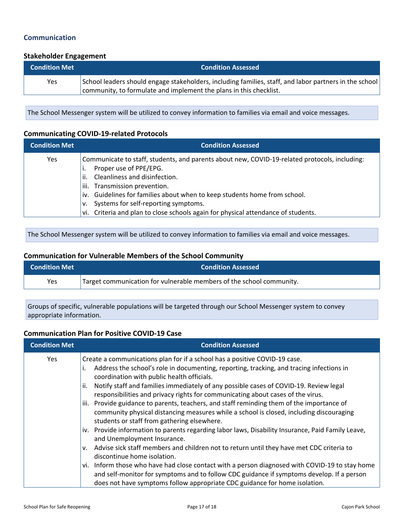## <span id="page-16-0"></span>**Communication**

#### **Stakeholder Engagement**

| <b>Condition Met</b> | <b>Condition Assessed</b>                                                                                                                                                      |
|----------------------|--------------------------------------------------------------------------------------------------------------------------------------------------------------------------------|
| Yes                  | School leaders should engage stakeholders, including families, staff, and labor partners in the school  <br>community, to formulate and implement the plans in this checklist. |

The School Messenger system will be utilized to convey information to families via email and voice messages.

#### **Communicating COVID-19-related Protocols**

| <b>Condition Met</b> | <b>Condition Assessed</b>                                                                                                                                                                                                                                                                                                                                                                                     |
|----------------------|---------------------------------------------------------------------------------------------------------------------------------------------------------------------------------------------------------------------------------------------------------------------------------------------------------------------------------------------------------------------------------------------------------------|
| <b>Yes</b>           | Communicate to staff, students, and parents about new, COVID-19-related protocols, including:<br>Proper use of PPE/EPG.<br>Cleanliness and disinfection.<br>ii.<br>Transmission prevention.<br>iii.<br>iv. Guidelines for families about when to keep students home from school.<br>Systems for self-reporting symptoms.<br>vi. Criteria and plan to close schools again for physical attendance of students. |

The School Messenger system will be utilized to convey information to families via email and voice messages.

## **Communication for Vulnerable Members of the School Community**

| <b>Condition Met</b> | <b>Condition Assessed</b>                                            |
|----------------------|----------------------------------------------------------------------|
| <b>Yes</b>           | Target communication for vulnerable members of the school community. |

Groups of specific, vulnerable populations will be targeted through our School Messenger system to convey appropriate information.

#### **Communication Plan for Positive COVID-19 Case**

| <b>Condition Met</b> | <b>Condition Assessed</b>                                                                                                                                                                                                                                                                                                                                                                                                                                                                                                                                                                                                                                                                                                                                                                                                                                                            |
|----------------------|--------------------------------------------------------------------------------------------------------------------------------------------------------------------------------------------------------------------------------------------------------------------------------------------------------------------------------------------------------------------------------------------------------------------------------------------------------------------------------------------------------------------------------------------------------------------------------------------------------------------------------------------------------------------------------------------------------------------------------------------------------------------------------------------------------------------------------------------------------------------------------------|
| Yes                  | Create a communications plan for if a school has a positive COVID-19 case.<br>Address the school's role in documenting, reporting, tracking, and tracing infections in<br>coordination with public health officials.<br>Notify staff and families immediately of any possible cases of COVID-19. Review legal<br>ii.<br>responsibilities and privacy rights for communicating about cases of the virus.<br>iii. Provide guidance to parents, teachers, and staff reminding them of the importance of<br>community physical distancing measures while a school is closed, including discouraging<br>students or staff from gathering elsewhere.<br>iv. Provide information to parents regarding labor laws, Disability Insurance, Paid Family Leave,<br>and Unemployment Insurance.<br>Advise sick staff members and children not to return until they have met CDC criteria to<br>V. |
|                      | discontinue home isolation.                                                                                                                                                                                                                                                                                                                                                                                                                                                                                                                                                                                                                                                                                                                                                                                                                                                          |
|                      | vi. Inform those who have had close contact with a person diagnosed with COVID-19 to stay home<br>and self-monitor for symptoms and to follow CDC guidance if symptoms develop. If a person<br>does not have symptoms follow appropriate CDC guidance for home isolation.                                                                                                                                                                                                                                                                                                                                                                                                                                                                                                                                                                                                            |
|                      |                                                                                                                                                                                                                                                                                                                                                                                                                                                                                                                                                                                                                                                                                                                                                                                                                                                                                      |